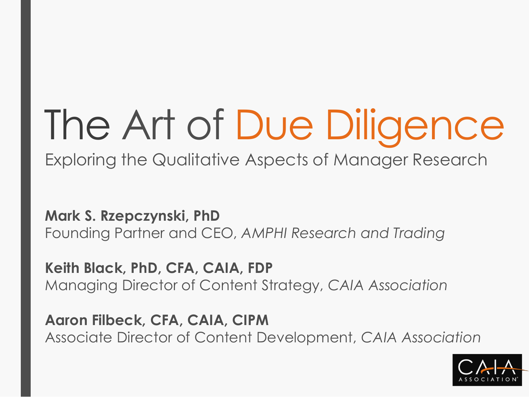# The Art of Due Diligence

Exploring the Qualitative Aspects of Manager Research

**Mark S. Rzepczynski, PhD** Founding Partner and CEO, *AMPHI Research and Trading*

**Keith Black, PhD, CFA, CAIA, FDP** Managing Director of Content Strategy, *CAIA Association*

**Aaron Filbeck, CFA, CAIA, CIPM** Associate Director of Content Development, *CAIA Association*

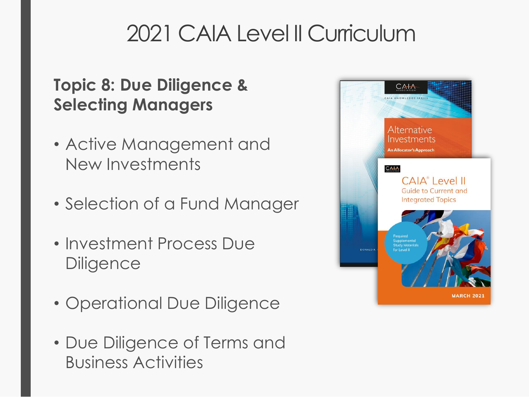# 2021 CAIA Level II Curriculum

#### **Topic 8: Due Diligence & Selecting Managers**

- Active Management and New Investments
- Selection of a Fund Manager
- Investment Process Due **Diligence**
- Operational Due Diligence
- Due Diligence of Terms and Business Activities

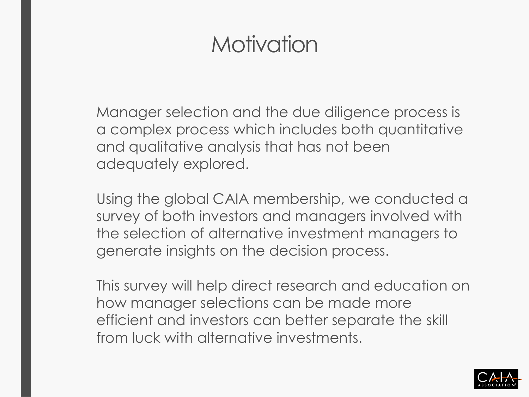## **Motivation**

Manager selection and the due diligence process is a complex process which includes both quantitative and qualitative analysis that has not been adequately explored.

Using the global CAIA membership, we conducted a survey of both investors and managers involved with the selection of alternative investment managers to generate insights on the decision process.

This survey will help direct research and education on how manager selections can be made more efficient and investors can better separate the skill from luck with alternative investments.

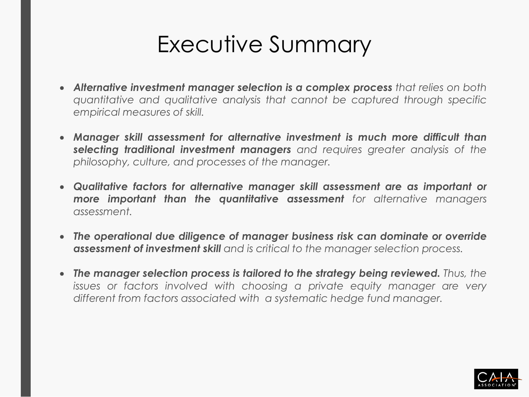## Executive Summary

- *Alternative investment manager selection is a complex process that relies on both quantitative and qualitative analysis that cannot be captured through specific empirical measures of skill.*
- *Manager skill assessment for alternative investment is much more difficult than selecting traditional investment managers and requires greater analysis of the philosophy, culture, and processes of the manager.*
- *Qualitative factors for alternative manager skill assessment are as important or more important than the quantitative assessment for alternative managers assessment.*
- *The operational due diligence of manager business risk can dominate or override assessment of investment skill and is critical to the manager selection process.*
- *The manager selection process is tailored to the strategy being reviewed. Thus, the issues or factors involved with choosing a private equity manager are very different from factors associated with a systematic hedge fund manager.*

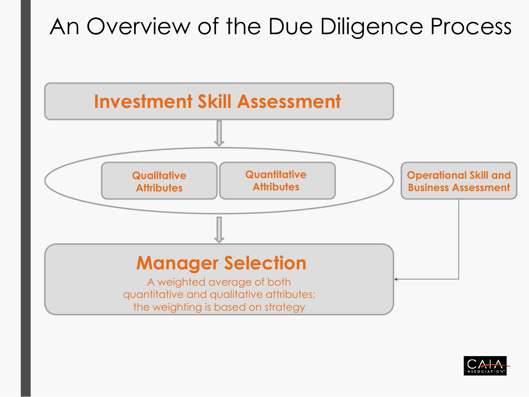# An Overview of the Due Diligence Process



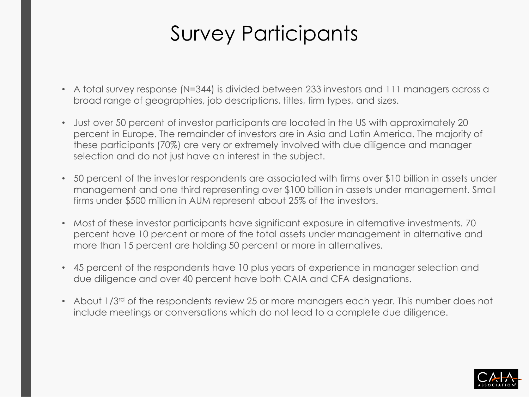## Survey Participants

- A total survey response (N=344) is divided between 233 investors and 111 managers across a broad range of geographies, job descriptions, titles, firm types, and sizes.
- Just over 50 percent of investor participants are located in the US with approximately 20 percent in Europe. The remainder of investors are in Asia and Latin America. The majority of these participants (70%) are very or extremely involved with due diligence and manager selection and do not just have an interest in the subject.
- 50 percent of the investor respondents are associated with firms over \$10 billion in assets under management and one third representing over \$100 billion in assets under management. Small firms under \$500 million in AUM represent about 25% of the investors.
- Most of these investor participants have significant exposure in alternative investments. 70 percent have 10 percent or more of the total assets under management in alternative and more than 15 percent are holding 50 percent or more in alternatives.
- 45 percent of the respondents have 10 plus years of experience in manager selection and due diligence and over 40 percent have both CAIA and CFA designations.
- About 1/3<sup>rd</sup> of the respondents review 25 or more managers each year. This number does not include meetings or conversations which do not lead to a complete due diligence.

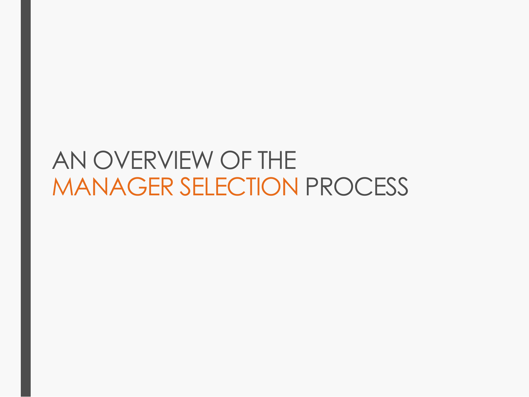# AN OVERVIEW OF THE MANAGER SELECTION PROCESS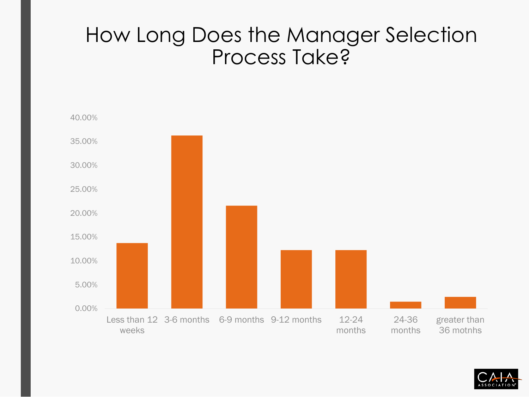#### How Long Does the Manager Selection Process Take?



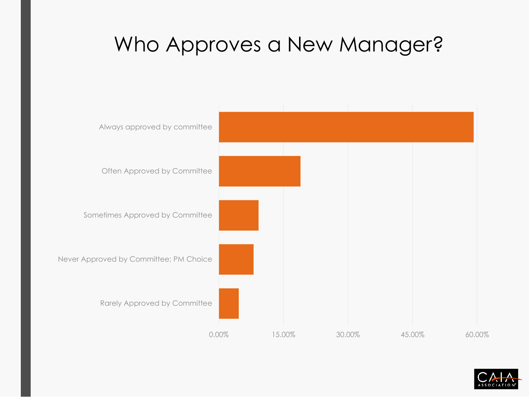## Who Approves a New Manager?



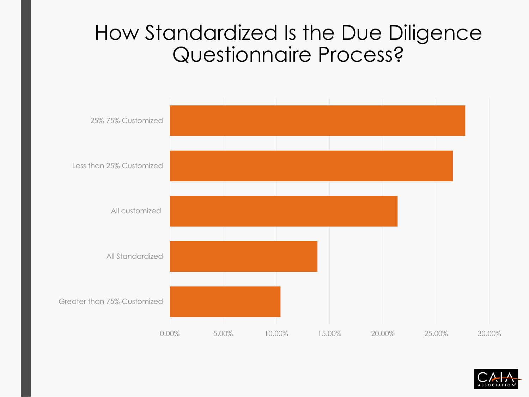#### How Standardized Is the Due Diligence Questionnaire Process?



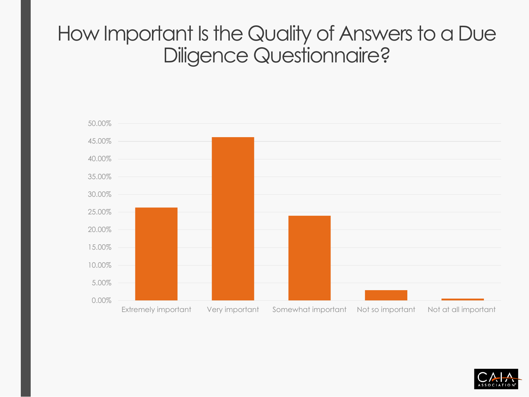#### How Important Is the Quality of Answers to a Due Diligence Questionnaire?



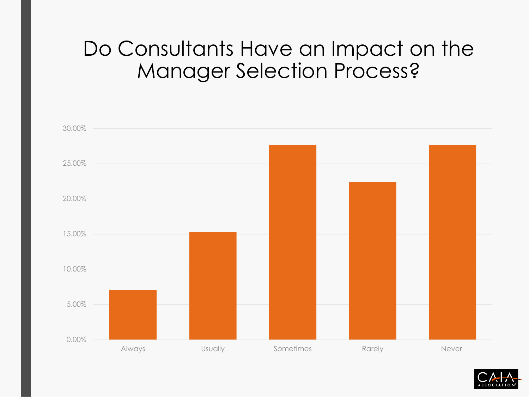#### Do Consultants Have an Impact on the Manager Selection Process?



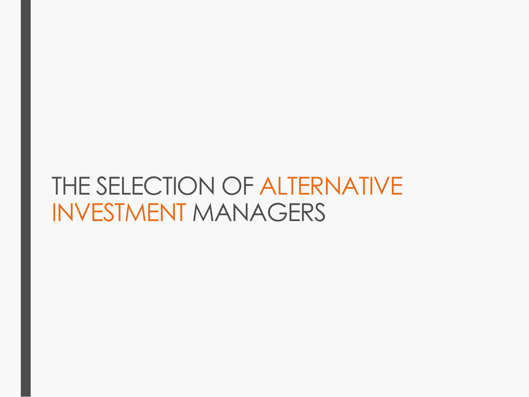# THE SELECTION OF ALTERNATIVE INVESTMENT MANAGERS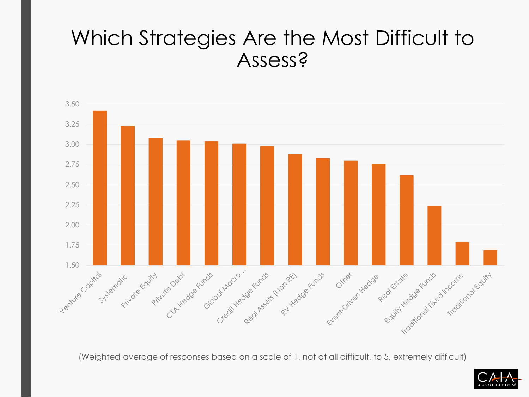#### Which Strategies Are the Most Difficult to Assess?



(Weighted average of responses based on a scale of 1, not at all difficult, to 5, extremely difficult)

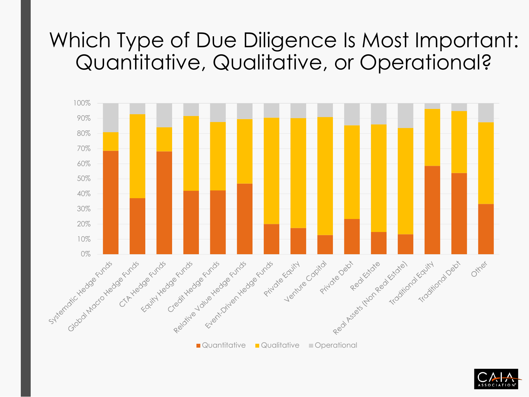## Which Type of Due Diligence Is Most Important: Quantitative, Qualitative, or Operational?



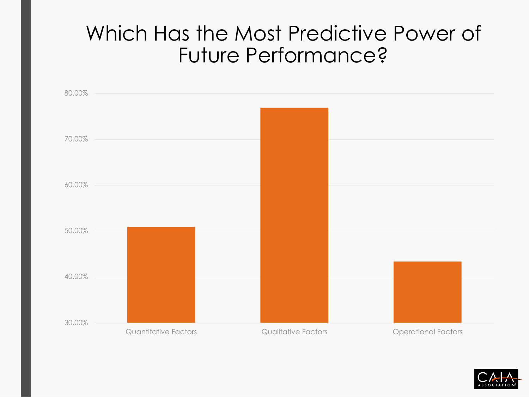#### Which Has the Most Predictive Power of Future Performance?



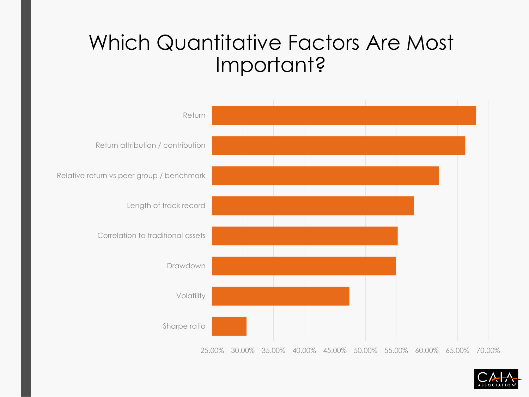#### Which Quantitative Factors Are Most Important?



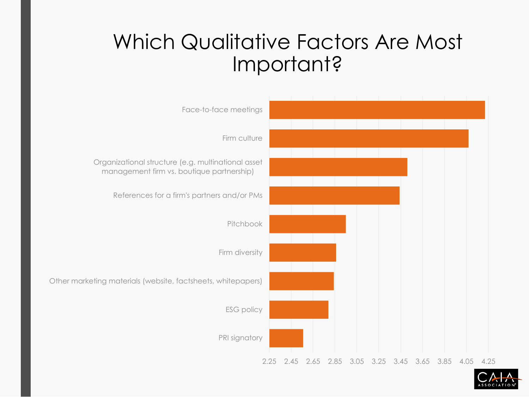## Which Qualitative Factors Are Most Important?



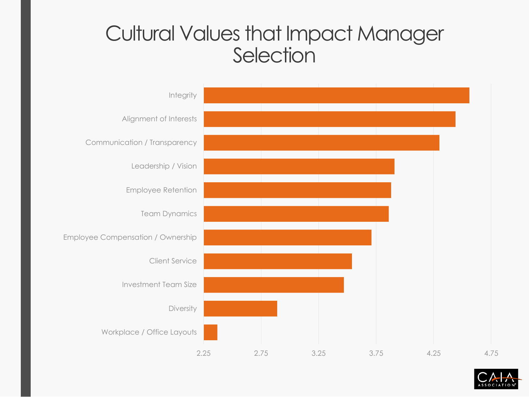#### Cultural Values that Impact Manager **Selection**



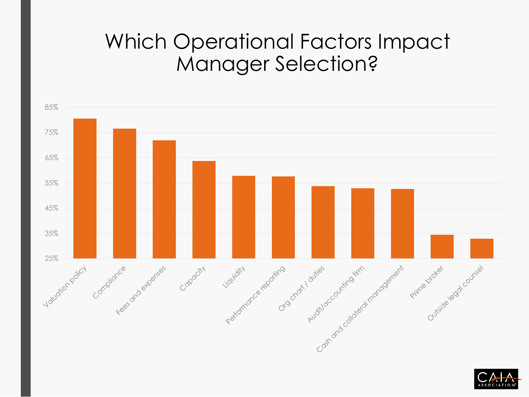## Which Operational Factors Impact Manager Selection?



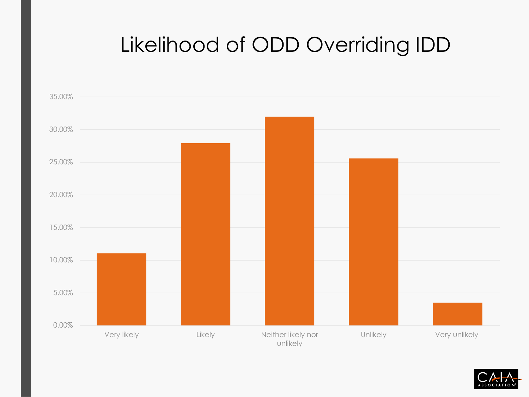## Likelihood of ODD Overriding IDD



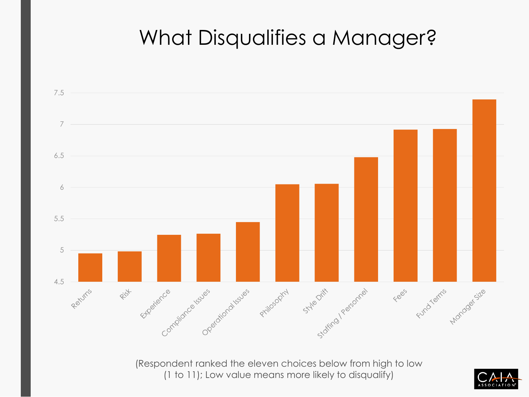## What Disqualifies a Manager?



(1 to 11); Low value means more likely to disqualify)

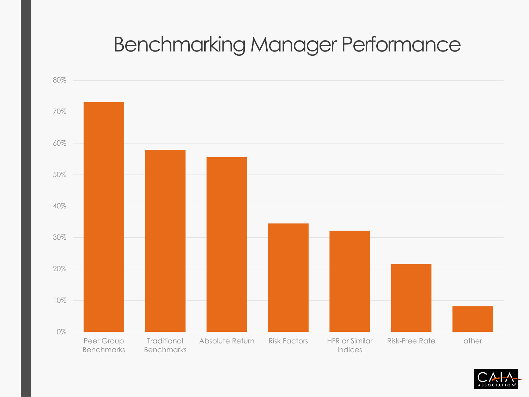## Benchmarking Manager Performance



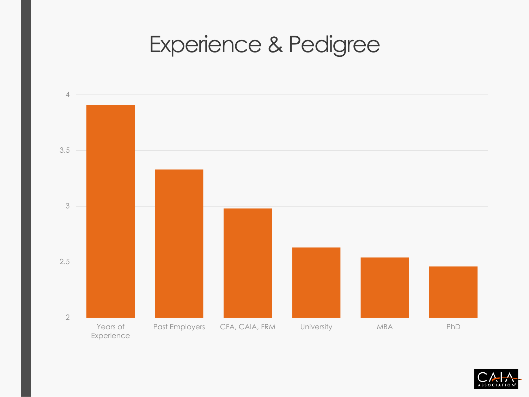# Experience & Pedigree



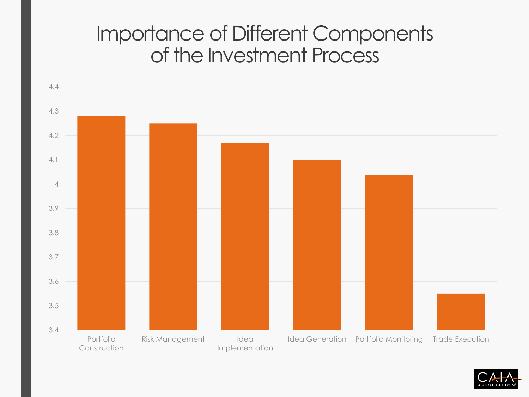#### Importance of Different Components of the Investment Process



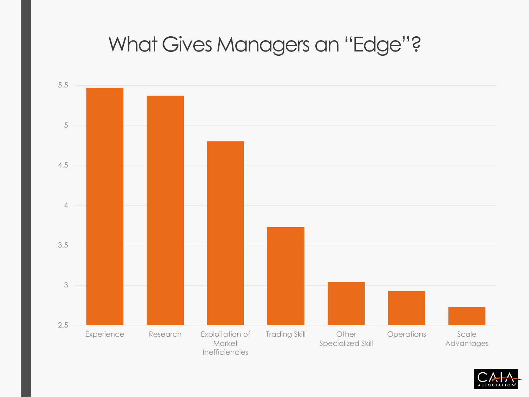#### What Gives Managers an "Edge"?



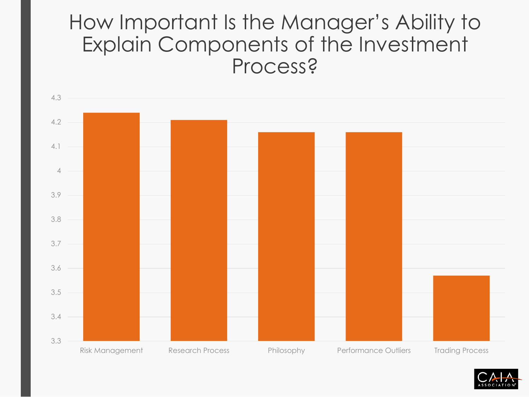#### How Important Is the Manager's Ability to Explain Components of the Investment Process?



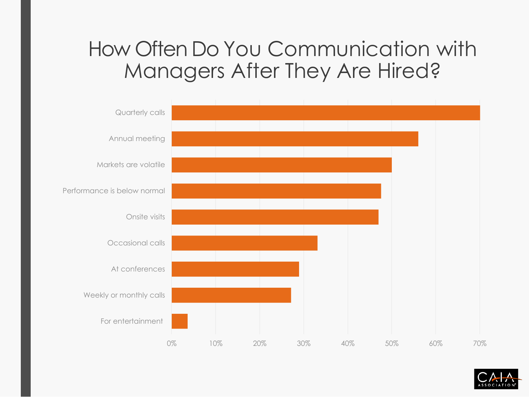#### How Often Do You Communication with Managers After They Are Hired?



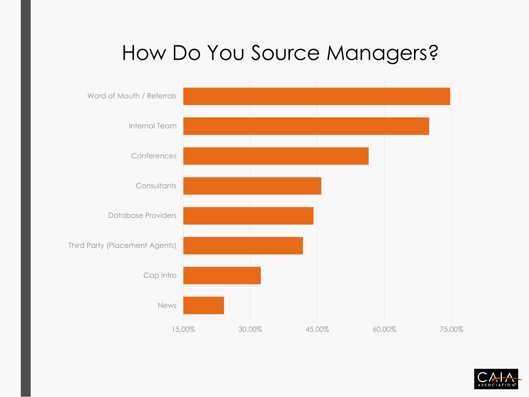## How Do You Source Managers?



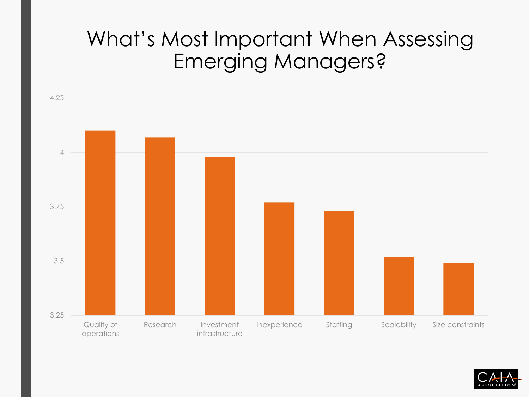## What's Most Important When Assessing Emerging Managers?



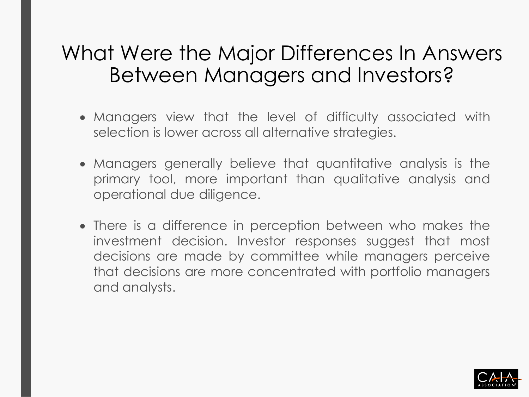#### What Were the Major Differences In Answers Between Managers and Investors?

- Managers view that the level of difficulty associated with selection is lower across all alternative strategies.
- Managers generally believe that quantitative analysis is the primary tool, more important than qualitative analysis and operational due diligence.
- There is a difference in perception between who makes the investment decision. Investor responses suggest that most decisions are made by committee while managers perceive that decisions are more concentrated with portfolio managers and analysts.